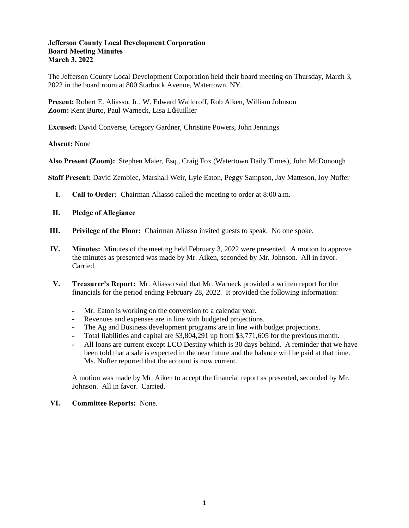### **Jefferson County Local Development Corporation Board Meeting Minutes March 3, 2022**

The Jefferson County Local Development Corporation held their board meeting on Thursday, March 3, 2022 in the board room at 800 Starbuck Avenue, Watertown, NY.

**Present:** Robert E. Aliasso, Jr., W. Edward Walldroff, Rob Aiken, William Johnson Zoom: Kent Burto, Paul Warneck, Lisa LøHuillier

**Excused:** David Converse, Gregory Gardner, Christine Powers, John Jennings

## **Absent:** None

**Also Present (Zoom):** Stephen Maier, Esq., Craig Fox (Watertown Daily Times), John McDonough

**Staff Present:** David Zembiec, Marshall Weir, Lyle Eaton, Peggy Sampson, Jay Matteson, Joy Nuffer

- **I. Call to Order:** Chairman Aliasso called the meeting to order at 8:00 a.m.
- **II. Pledge of Allegiance**
- **III. Privilege of the Floor:** Chairman Aliasso invited guests to speak. No one spoke.
- **IV. Minutes:** Minutes of the meeting held February 3, 2022 were presented. A motion to approve the minutes as presented was made by Mr. Aiken, seconded by Mr. Johnson. All in favor. Carried.
- **V. Treasurer's Report:** Mr. Aliasso said that Mr. Warneck provided a written report for the financials for the period ending February 28, 2022. It provided the following information:
	- **-** Mr. Eaton is working on the conversion to a calendar year.
	- **-** Revenues and expenses are in line with budgeted projections.
	- **-** The Ag and Business development programs are in line with budget projections.
	- **-** Total liabilities and capital are \$3,804,291 up from \$3,771,605 for the previous month.
	- **-** All loans are current except LCO Destiny which is 30 days behind. A reminder that we have been told that a sale is expected in the near future and the balance will be paid at that time. Ms. Nuffer reported that the account is now current.

A motion was made by Mr. Aiken to accept the financial report as presented, seconded by Mr. Johnson. All in favor. Carried.

# **VI. Committee Reports:** None.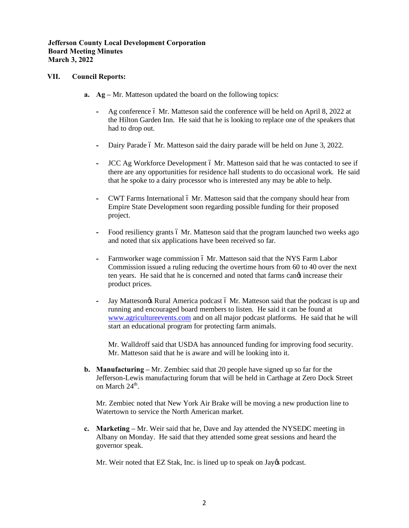**Jefferson County Local Development Corporation Board Meeting Minutes March 3, 2022**

### **VII. Council Reports:**

- **a. Ag** Mr. Matteson updated the board on the following topics:
	- Ag conference 6 Mr. Matteson said the conference will be held on April 8, 2022 at the Hilton Garden Inn. He said that he is looking to replace one of the speakers that had to drop out.
	- Dairy Parade 6 Mr. Matteson said the dairy parade will be held on June 3, 2022.
	- **JCC Ag Workforce Development 6 Mr. Matteson said that he was contacted to see if** there are any opportunities for residence hall students to do occasional work. He said that he spoke to a dairy processor who is interested any may be able to help.
	- CWT Farms International 6 Mr. Matteson said that the company should hear from Empire State Development soon regarding possible funding for their proposed project.
	- Food resiliency grants 6 Mr. Matteson said that the program launched two weeks ago and noted that six applications have been received so far.
	- Farmworker wage commission 6 Mr. Matteson said that the NYS Farm Labor Commission issued a ruling reducing the overtime hours from 60 to 40 over the next ten years. He said that he is concerned and noted that farms cand increase their product prices.
	- Jay Matteson<sub>os</sub> Rural America podcast 6 Mr. Matteson said that the podcast is up and running and encouraged board members to listen. He said it can be found at [www.agricultureevents.com](http://www.agricultureevents.com/) and on all major podcast platforms. He said that he will start an educational program for protecting farm animals.

Mr. Walldroff said that USDA has announced funding for improving food security. Mr. Matteson said that he is aware and will be looking into it.

**b. Manufacturing –** Mr. Zembiec said that 20 people have signed up so far for the Jefferson-Lewis manufacturing forum that will be held in Carthage at Zero Dock Street on March  $24<sup>th</sup>$ .

Mr. Zembiec noted that New York Air Brake will be moving a new production line to Watertown to service the North American market.

**c. Marketing –** Mr. Weir said that he, Dave and Jay attended the NYSEDC meeting in Albany on Monday. He said that they attended some great sessions and heard the governor speak.

Mr. Weir noted that EZ Stak, Inc. is lined up to speak on Jay $\alpha$  podcast.